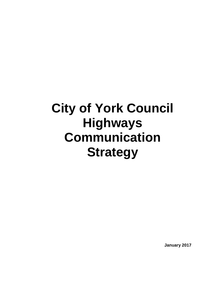# **City of York Council Highways Communication Strategy**

**January 2017**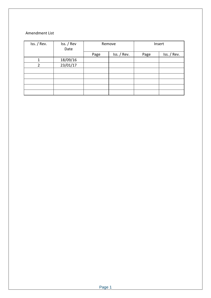#### Amendment List

| Iss. / Rev.    | Iss. / Rev<br>Date          | Remove |             | Insert |             |
|----------------|-----------------------------|--------|-------------|--------|-------------|
|                |                             | Page   | Iss. / Rev. | Page   | Iss. / Rev. |
| 1              | $\frac{18/09/16}{23/01/17}$ |        |             |        |             |
| $\overline{2}$ |                             |        |             |        |             |
|                |                             |        |             |        |             |
|                |                             |        |             |        |             |
|                |                             |        |             |        |             |
|                |                             |        |             |        |             |
|                |                             |        |             |        |             |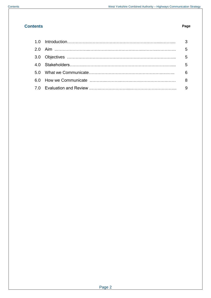# **Contents Page**

|  | - 6 |
|--|-----|
|  |     |
|  |     |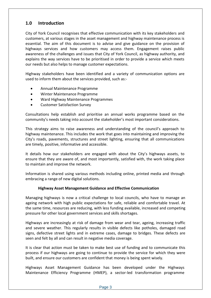# **1.0 Introduction**

City of York Council recognises that effective communication with its key stakeholders and customers, at various stages in the asset management and highway maintenance process is essential. The aim of this document is to advise and give guidance on the provision of highways services and how customers may access them. Engagement raises public awareness of the challenges and issues that City of York Council, as highway authority, and explains the way services have to be prioritised in order to provide a service which meets our needs but also helps to manage customer expectations.

Highway stakeholders have been identified and a variety of communication options are used to inform them about the services provided, such as:-

- Annual Maintenance Programme
- Winter Maintenance Programme
- Ward Highway Maintenance Programmes
- Customer Satisfaction Survey

Consultations help establish and prioritise an annual works programme based on the community's needs taking into account the stakeholder's most important considerations.

This strategy aims to raise awareness and understanding of the council's approach to highway maintenance. This includes the work that goes into maintaining and improving the City's roads, pavements, structures and street lighting, ensuring that all communications are timely, positive, informative and accessible.

It details how our stakeholders are engaged with about the City's highways assets, to ensure that they are aware of, and most importantly, satisfied with, the work taking place to maintain and improve the network.

Information is shared using various methods including online, printed media and through embracing a range of new digital solutions.

### **Highway Asset Management Guidance and Effective Communication**

Managing highways is now a critical challenge to local councils, who have to manage an ageing network with high public expectations for safe, reliable and comfortable travel. At the same time, resources are reducing, with less funding available, increased and competing pressure for other local government services and skills shortages.

Highways are increasingly at risk of damage from wear and tear, ageing, increasing traffic and severe weather. This regularly results in visible defects like potholes, damaged road signs, defective street lights and in extreme cases, damage to bridges. These defects are seen and felt by all and can result in negative media coverage.

It is clear that action must be taken to make best use of funding and to communicate this process if our highways are going to continue to provide the service for which they were built, and ensure our customers are confident that money is being spent wisely.

Highways Asset Management Guidance has been developed under the Highways Maintenance Efficiency Programme (HMEP), a sector-led transformation programme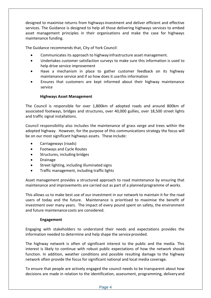designed to maximise returns from highwaysinvestment and deliver efficient and effective services. The Guidance is designed to help all those delivering highways services to embed asset management principles in their organisations and make the case for highways maintenance funding.

The Guidance recommends that, City of York Council:

- Communicates its approach to highway infrastructure asset management.
- Undertakes customer satisfaction surveys to make sure this information is used to help drive service improvement
- Have a mechanism in place to gather customer feedback on its highway maintenance service and if so how does it usethis information
- Ensures that customers are kept informed about their highway maintenance service

### **Highways Asset Management**

The Council is responsible for over 1,800km of adopted roads and around 800km of associated footways, bridges and structures, over 40,000 gullies, over 18,500 street lights and traffic signal installations.

Council responsibility also includes the maintenance of grass verge and trees within the adopted highway. However, for the purpose of this communications strategy the focus will be on our most significant highways assets. These include:

- Carriageways (roads)
- Footways and Cycle Routes
- Structures, including bridges
- Drainage
- Street lighting, including illuminated signs
- Traffic management, including traffic lights

Asset management provides a structured approach to road maintenance by ensuring that maintenance and improvements are carried out as part of a plannedprogramme of works.

This allows us to make best use of our investment in our network to maintain it for the road users of today and the future. Maintenance is prioritised to maximise the benefit of investment over many years. The impact of every pound spent on safety, the environment and future maintenance costs are considered.

#### **Engagement**

Engaging with stakeholders to understand their needs and expectations provides the information needed to determine and help shape the service provided.

The highway network is often of significant interest to the public and the media. This interest is likely to continue with robust public expectations of how the network should function. In addition, weather conditions and possible resulting damage to the highway network often provide the focus for significant national and local media coverage.

To ensure that people are actively engaged the council needs to be transparent about how decisions are made in relation to the identification, assessment, programming, delivery and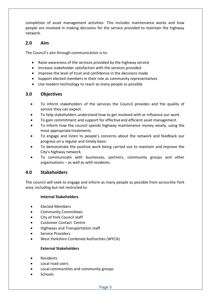completion of asset management activities. This includes maintenance works and how people are involved in making decisions for the service provided to maintain the highway network.

# **2.0 Aim**

The Council's aim through communication is to:

- Raise awareness of the services provided by the highway service
- Increase stakeholder satisfaction with the services provided
- Improve the level of trust and confidence in the decisions made
- Support elected members in their role as community representatives
- Use modern technology to reach as many people as possible

# **3.0 Objectives**

- To inform stakeholders of the services the Council provides and the quality of service they can expect.
- To help stakeholders understand how to get involved with or influence our work.
- To gain commitment and support for effectiveand efficient asset management.
- To inform how the council spends highway maintenance money wisely, using the most appropriate treatments.
- To engage and listen to people's concerns about the network and feedback our progress on a regular and timely basis.
- To demonstrate the positive work being carried out to maintain and improve the City's highway network.
- To communicate with businesses, partners, community groups and other organisations – as well as with residents.

# **4.0 Stakeholders**

The council will seek to engage and inform as many people as possible from acrossthe York area, including but not restricted to:

### **Internal Stakeholders**

- Elected Members
- Community Committees
- City of York Council staff
- Customer Contact Centre
- Highways and Transportation staff
- Service Providers
- West Yorkshire Combined Authorities (WYCA)

### **External Stakeholders**

- Residents
- Local road users
- Local communities and community groups
- **Schools**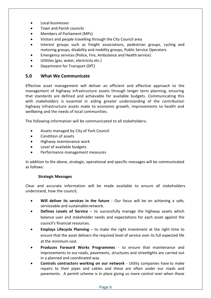- Local businesses
- Town and Parish councils
- Members of Parliament (MPs)
- Visitors and people travelling through the City Council area
- Interest groups such as freight associations, pedestrian groups, cycling and motoring groups, disability and mobility groups, Public Service Operators
- Emergency services (Police, Fire, Ambulance and Health service)
- Utilities (gas, water, electricity etc.)
- Department for Transport (DfT)

# **5.0 What We Communicate**

Effective asset management will deliver an efficient and effective approach to the management of highway infrastructure assets through longer term planning, ensuring that standards are defined and achievable for available budgets. Communicating this with stakeholders is essential in aiding greater understanding of the contribution highway infrastructure assets make to economic growth, improvements to health and wellbeing and the needs of local communities.

The following information will be communicated to all stakeholders;

- Assets managed by City of York Council
- Condition of assets
- Highway maintenance work
- Level of available budgets
- Performance management measures

In addition to the above, strategic, operational and specific messages will be communicated as follows:

### **Strategic Messages**

Clear and accurate information will be made available to ensure all stakeholders understand, how the council;

- **Will deliver its services in the future** Our focus will be on achieving a safe, serviceable and sustainablenetwork.
- **Defines Levels of Service** to successfully manage the highway assets which balance user and stakeholder needs and expectations for each asset against the council's financial resources.
- **Employs Lifecycle Planning** to make the right investment at the right time to ensure that the asset delivers the required level of service over its full expected life at the minimum cost.
- **Produces Forward Works Programmes** to ensure that maintenance and improvements to ourroads, pavements, structures and streetlights are carried out in a planned and coordinated way
- **Controls contractors working on our network** Utility companies have to make repairs to their pipes and cables and these are often under our roads and pavements. A permit scheme is in place giving us more control over when these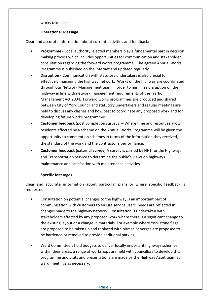works take place.

### **Operational Message**

Clear and accurate information about current activities and feedback;

- **Programme -** Local authority, elected members play a fundamental part in decision making process which includes opportunities for communication and stakeholder consultation regarding the forward works programme. The agreed Annual Works Programme is published on the Internet and updated regularly.
- **Disruption** Communication with statutory undertakers is also crucial to effectively managing the highway network. Works on the highway are coordinated through our Network Management team in order to minimise disruption on the highway in line with network management requirements of the Traffic Management Act 2004. Forward works programmes are produced and shared between City of York Council and statutory undertakers and regular meetings are held to discuss any clashes and how best to coordinate any proposed work and for developing future works programmes.
- **Customer feedback** (post completion surveys) Where time and resources allow residents affected by a scheme on the Annual Works Programme will be given the opportunity to comment on schemes in terms of the information they received, the standard of the work and the contractor's performance.
- **Customer feedback (external survey)** A survey is carried by NHT for the Highways and Transportation Service to determine the public's views on highways maintenance and satisfaction with maintenance activities.

### **Specific Messages**

Clear and accurate information about particular plans or where specific feedback is requested;

- Consultation on potential changes to the highway is an important part of communication with customers to ensure service users' needs are reflected in changes made to the highway network. Consultation is undertaken with stakeholders affected by any proposed work where there is a significant change to the existing layout or a change in materials. For example where York stone flags are proposed to be taken up and replaced with bitmac or verges are proposed to be hardened or removed to provide additional parking.
- Ward Committee's hold budgets to deliver locally important highways schemes within their areas, a range of workshops are held with councillors to develop this programme and visits and presentations are made by the Highway Asset team at ward meetings as necessary.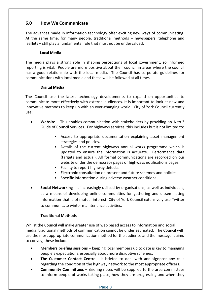# **6.0 How We Communicate**

The advances made in information technology offer exciting new ways of communicating. At the same time, for many people, traditional methods – newspapers, telephone and leaflets – still play a fundamental role that must not be undervalued.

### **Local Media**

The media plays a strong role in shaping perceptions of local government, so informed reporting is vital. People are more positive about their council in areas where the council has a good relationship with the local media. The Council has corporate guidelines for communications with local media and these will be followed at all times.

### **Digital Media**

The Council use the latest technology developments to expand on opportunities to communicate more effectively with external audiences. It is important to look at new and innovative methods to keep up with an ever-changing world. City of York Council currently use;

- **Website** This enables communication with stakeholders by providing an A to Z Guide of Council Services. For highways services, this includes but is not limited to:
	- Access to appropriate documentation explaining asset management strategies and policies.
	- Details of the current highways annual works programme which is updated to ensure the information is accurate. Performance data (targets and actual). All formal communications are recorded on our website under the democracy pages or highways notifications pages.
	- Facility to report highway defects.
	- Electronic consultation on present and future schemes and policies.
	- Specific information during adverse weather conditions.
- **Social Networking** is increasingly utilised by organisations, as well as individuals, as a means of developing online communities for gathering and disseminating information that is of mutual interest. City of York Council extensively use Twitter to communicate winter maintenance activities.

### **Traditional Methods**

Whilst the Council will make greater use of web based access to information and social media, traditional methods of communication cannot be under estimated. The Council will use the most appropriate communication method for the audience and the message it aims to convey, these include:

- **Members briefing sessions** keeping local members up to date is key to managing people's expectations,especially about more disruptive schemes.
- **The Customer Contact Centre** is briefed to deal with and signpost any calls regarding the condition of the highway network to the most appropriate officers.
- **Community Committees**  Briefing notes will be supplied to the area committees to inform people of works taking place, how they are progressing and when they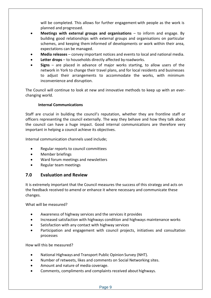will be completed. This allows for further engagement with people as the work is planned and progressed.

- **Meetings with external groups and organisations**  to inform and engage. By building good relationships with external groups and organisations on particular schemes, and keeping them informed of developments or work within their area, expectations can be managed.
- **Media releases** convey important notices and events to local and national media.
- **Letter drops**  to households directly affected by roadworks.
- **Signs** are placed in advance of major works starting, to allow users of the network in York to change their travel plans, and for local residents and businesses to adjust their arrangements to accommodate the works, with minimum inconvenience and disruption.

The Council will continue to look at new and innovative methods to keep up with an everchanging world.

#### **Internal Communications**

Staff are crucial in building the council's reputation, whether they are frontline staff or officers representing the council externally. The way they behave and how they talk about the council can have a huge impact. Good internal communications are therefore very important in helping a council achieve its objectives.

Internal communication channels used include;

- Regular reports to council committees
- Member briefings
- Ward forum meetings and newsletters
- Regular team meetings

# **7.0 Evaluation and Review**

It is extremely important that the Council measures the success of this strategy and acts on the feedback received to amend or enhance it where necessary and communicate these changes.

What will be measured?

- Awareness of highway services and the services it provides
- Increased satisfaction with highways condition and highways maintenance works
- Satisfaction with any contact with highway services
- Participation and engagement with council projects, initiatives and consultation processes

How will this be measured?

- National Highways and Transport Public Opinion Survey (NHT).
- Number of retweets, likes and comments on Social Networking sites.
- Amount and nature of media coverage.
- Comments, compliments and complaints received about highways.